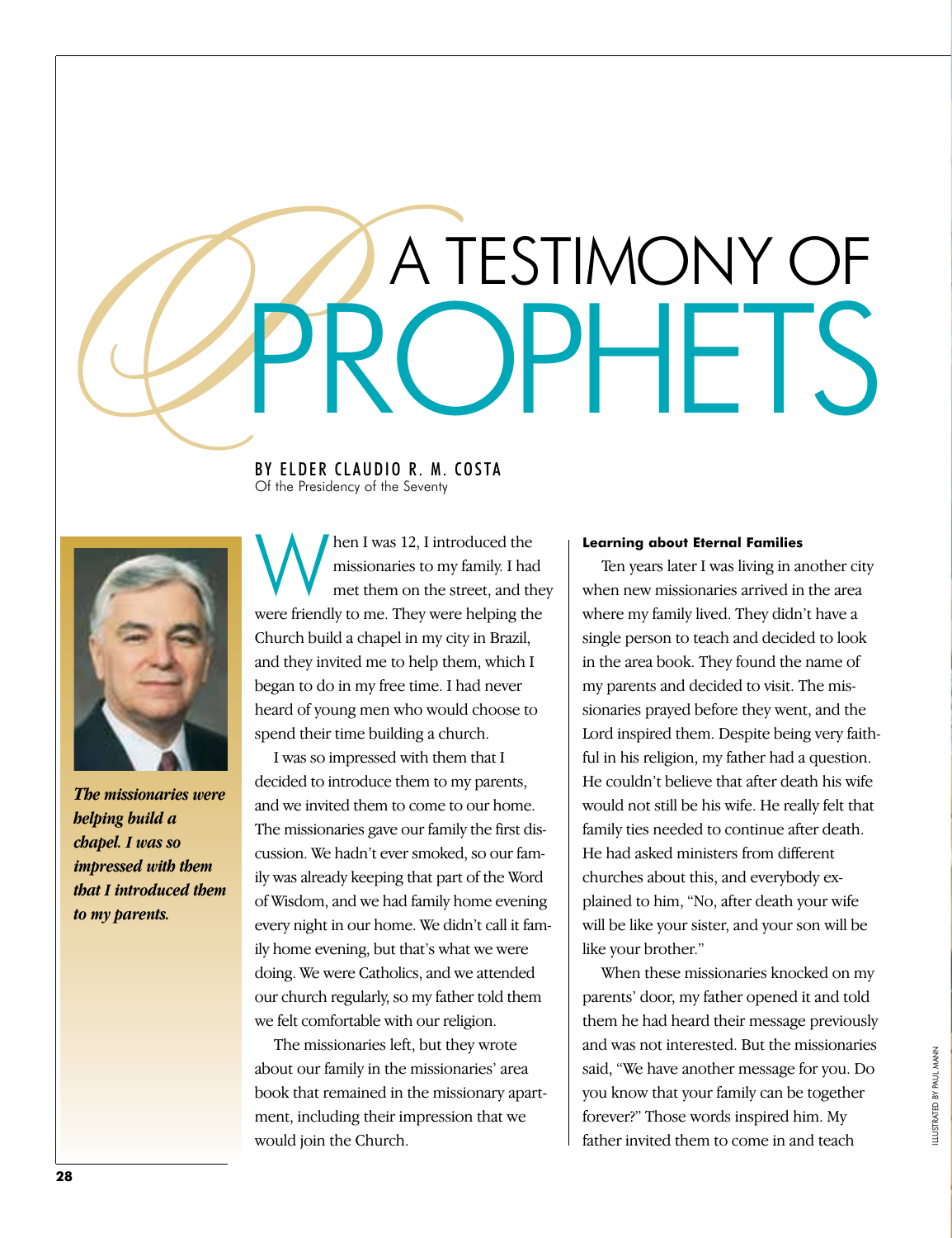## A TESTIMONY OF PROPHETS

BY ELDER CLAUDIO R. M. COSTA Of the Presidency of the Seventy



*The missionaries were helping build a chapel. I was so impressed with them that I introduced them to my parents.*

When I was 12, I introduced the<br>missionaries to my family. I ha<br>met them on the street, and the<br>wave friendly to me. They were helping the missionaries to my family. I had met them on the street, and they were friendly to me. They were helping the Church build a chapel in my city in Brazil, and they invited me to help them, which I began to do in my free time. I had never heard of young men who would choose to spend their time building a church.

I was so impressed with them that I decided to introduce them to my parents, and we invited them to come to our home. The missionaries gave our family the first discussion. We hadn't ever smoked, so our family was already keeping that part of the Word of Wisdom, and we had family home evening every night in our home. We didn't call it family home evening, but that's what we were doing. We were Catholics, and we attended our church regularly, so my father told them we felt comfortable with our religion.

The missionaries left, but they wrote about our family in the missionaries' area book that remained in the missionary apartment, including their impression that we would join the Church.

## **Learning about Eternal Families**

Ten years later I was living in another city when new missionaries arrived in the area where my family lived. They didn't have a single person to teach and decided to look in the area book. They found the name of my parents and decided to visit. The missionaries prayed before they went, and the Lord inspired them. Despite being very faithful in his religion, my father had a question. He couldn't believe that after death his wife would not still be his wife. He really felt that family ties needed to continue after death. He had asked ministers from different churches about this, and everybody explained to him, "No, after death your wife will be like your sister, and your son will be like your brother."

When these missionaries knocked on my parents' door, my father opened it and told them he had heard their message previously and was not interested. But the missionaries said, "We have another message for you. Do you know that your family can be together forever?" Those words inspired him. My father invited them to come in and teach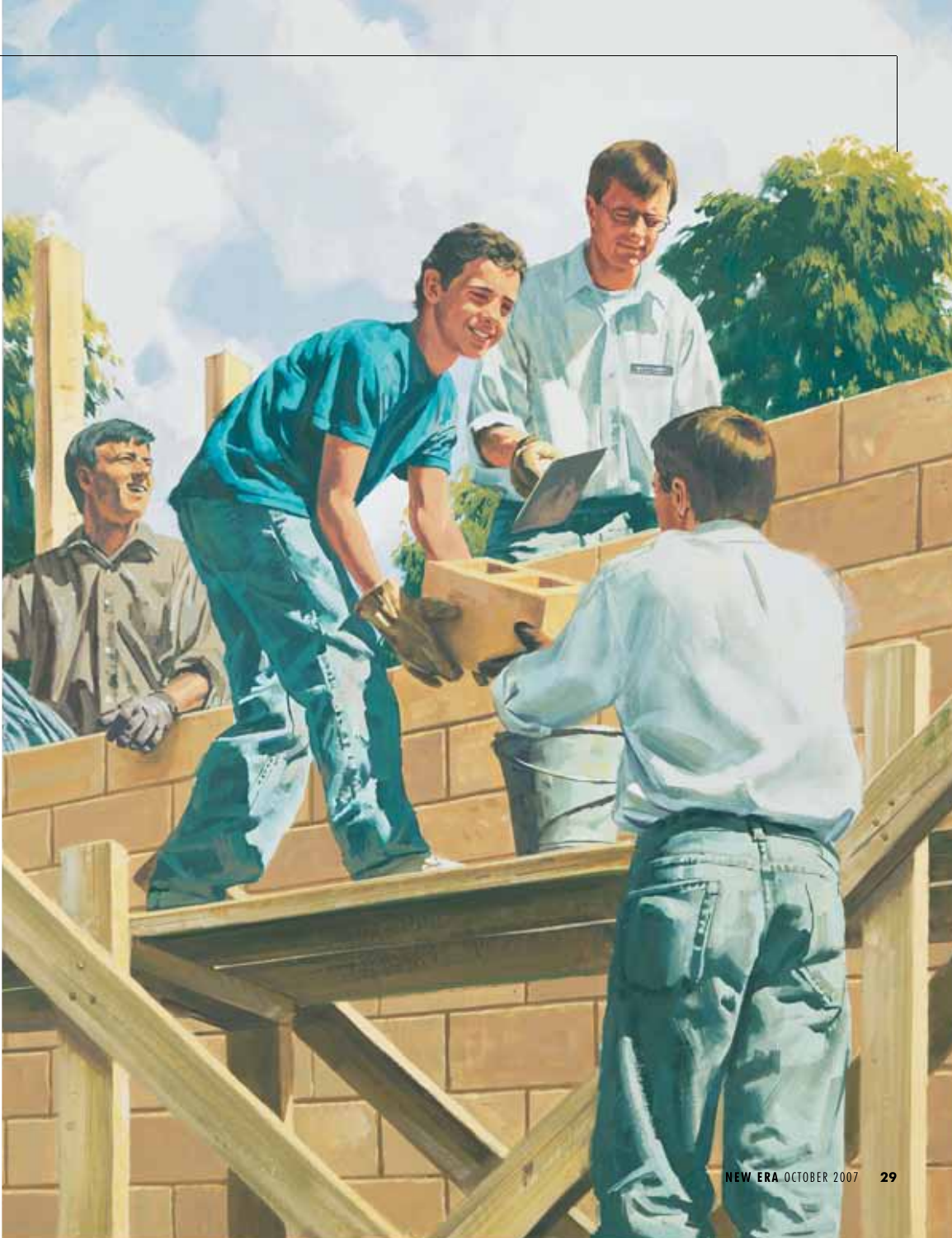**NEW ERA** OCTOBER 2007 **29**